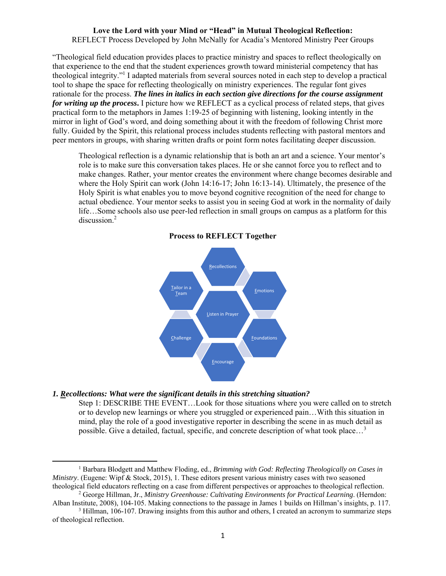#### **Love the Lord with your Mind or "Head" in Mutual Theological Reflection:**  REFLECT Process Developed by John McNally for Acadia's Mentored Ministry Peer Groups

"Theological field education provides places to practice ministry and spaces to reflect theologically on that experience to the end that the student experiences growth toward ministerial competency that has theological integrity."<sup>1</sup> I adapted materials from several sources noted in each step to develop a practical tool to shape the space for reflecting theologically on ministry experiences. The regular font gives rationale for the process. *The lines in italics in each section give directions for the course assignment for writing up the process***.** I picture how we REFLECT as a cyclical process of related steps, that gives practical form to the metaphors in James 1:19-25 of beginning with listening, looking intently in the mirror in light of God's word, and doing something about it with the freedom of following Christ more fully. Guided by the Spirit, this relational process includes students reflecting with pastoral mentors and peer mentors in groups, with sharing written drafts or point form notes facilitating deeper discussion.

Theological reflection is a dynamic relationship that is both an art and a science. Your mentor's role is to make sure this conversation takes places. He or she cannot force you to reflect and to make changes. Rather, your mentor creates the environment where change becomes desirable and where the Holy Spirit can work (John 14:16-17; John 16:13-14). Ultimately, the presence of the Holy Spirit is what enables you to move beyond cognitive recognition of the need for change to actual obedience. Your mentor seeks to assist you in seeing God at work in the normality of daily life…Some schools also use peer-led reflection in small groups on campus as a platform for this discussion.<sup>2</sup>



## **Process to REFLECT Together**

*1. Recollections: What were the significant details in this stretching situation?* 

Step 1: DESCRIBE THE EVENT…Look for those situations where you were called on to stretch or to develop new learnings or where you struggled or experienced pain…With this situation in mind, play the role of a good investigative reporter in describing the scene in as much detail as possible. Give a detailed, factual, specific, and concrete description of what took place…<sup>3</sup>

<sup>&</sup>lt;sup>1</sup> Barbara Blodgett and Matthew Floding, ed., *Brimming with God: Reflecting Theologically on Cases in Ministry*. (Eugene: Wipf & Stock, 2015), 1. These editors present various ministry cases with two seasoned theological field educators reflecting on a case from different perspectives or approaches to theological reflection. 2

George Hillman, Jr., *Ministry Greenhouse: Cultivating Environments for Practical Learning*. (Herndon: Alban Institute, 2008), 104-105. Making connections to the passage in James 1 builds on Hillman's insights, p. 117.

<sup>&</sup>lt;sup>3</sup> Hillman, 106-107. Drawing insights from this author and others, I created an acronym to summarize steps of theological reflection.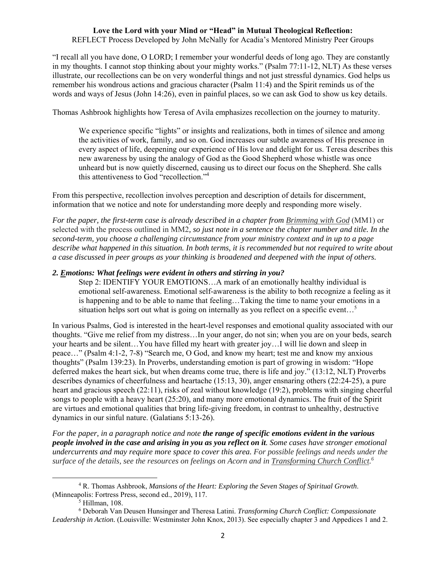# **Love the Lord with your Mind or "Head" in Mutual Theological Reflection:**

REFLECT Process Developed by John McNally for Acadia's Mentored Ministry Peer Groups

"I recall all you have done, O LORD; I remember your wonderful deeds of long ago. They are constantly in my thoughts. I cannot stop thinking about your mighty works." (Psalm 77:11-12, NLT) As these verses illustrate, our recollections can be on very wonderful things and not just stressful dynamics. God helps us remember his wondrous actions and gracious character (Psalm 11:4) and the Spirit reminds us of the words and ways of Jesus (John 14:26), even in painful places, so we can ask God to show us key details.

Thomas Ashbrook highlights how Teresa of Avila emphasizes recollection on the journey to maturity.

We experience specific "lights" or insights and realizations, both in times of silence and among the activities of work, family, and so on. God increases our subtle awareness of His presence in every aspect of life, deepening our experience of His love and delight for us. Teresa describes this new awareness by using the analogy of God as the Good Shepherd whose whistle was once unheard but is now quietly discerned, causing us to direct our focus on the Shepherd. She calls this attentiveness to God "recollection."4

From this perspective, recollection involves perception and description of details for discernment, information that we notice and note for understanding more deeply and responding more wisely.

*For the paper, the first-term case is already described in a chapter from Brimming with God* (MM1) or selected with the process outlined in MM2*, so just note in a sentence the chapter number and title. In the second-term, you choose a challenging circumstance from your ministry context and in up to a page describe what happened in this situation. In both terms, it is recommended but not required to write about a case discussed in peer groups as your thinking is broadened and deepened with the input of others.* 

#### *2. Emotions: What feelings were evident in others and stirring in you?*

Step 2: IDENTIFY YOUR EMOTIONS…A mark of an emotionally healthy individual is emotional self-awareness. Emotional self-awareness is the ability to both recognize a feeling as it is happening and to be able to name that feeling…Taking the time to name your emotions in a situation helps sort out what is going on internally as you reflect on a specific event...<sup>5</sup>

In various Psalms, God is interested in the heart-level responses and emotional quality associated with our thoughts. "Give me relief from my distress…In your anger, do not sin; when you are on your beds, search your hearts and be silent…You have filled my heart with greater joy…I will lie down and sleep in peace…" (Psalm 4:1-2, 7-8) "Search me, O God, and know my heart; test me and know my anxious thoughts" (Psalm 139:23). In Proverbs, understanding emotion is part of growing in wisdom: "Hope deferred makes the heart sick, but when dreams come true, there is life and joy." (13:12, NLT) Proverbs describes dynamics of cheerfulness and heartache (15:13, 30), anger ensnaring others (22:24-25), a pure heart and gracious speech (22:11), risks of zeal without knowledge (19:2), problems with singing cheerful songs to people with a heavy heart (25:20), and many more emotional dynamics. The fruit of the Spirit are virtues and emotional qualities that bring life-giving freedom, in contrast to unhealthy, destructive dynamics in our sinful nature. (Galatians 5:13-26).

*For the paper, in a paragraph notice and note the range of specific emotions evident in the various people involved in the case and arising in you as you reflect on it. Some cases have stronger emotional undercurrents and may require more space to cover this area. For possible feelings and needs under the surface of the details, see the resources on feelings on Acorn and in Transforming Church Conflict.6* 

<sup>4</sup> R. Thomas Ashbrook, *Mansions of the Heart: Exploring the Seven Stages of Spiritual Growth*. (Minneapolis: Fortress Press, second ed., 2019), 117.

 $<sup>5</sup>$  Hillman, 108.</sup>

<sup>6</sup> Deborah Van Deusen Hunsinger and Theresa Latini. *Transforming Church Conflict: Compassionate Leadership in Action.* (Louisville: Westminster John Knox, 2013). See especially chapter 3 and Appedices 1 and 2.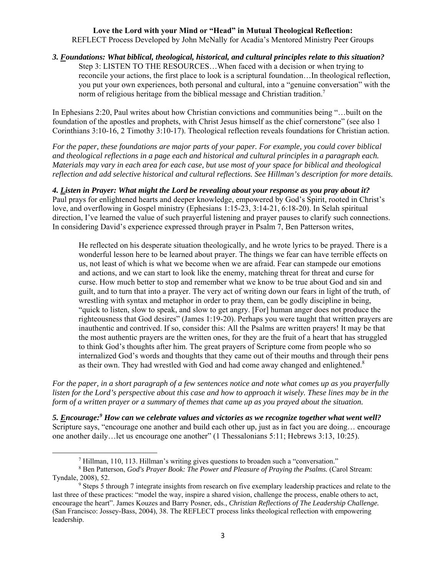## **Love the Lord with your Mind or "Head" in Mutual Theological Reflection:**  REFLECT Process Developed by John McNally for Acadia's Mentored Ministry Peer Groups

*3. Foundations: What biblical, theological, historical, and cultural principles relate to this situation?*  Step 3: LISTEN TO THE RESOURCES…When faced with a decision or when trying to reconcile your actions, the first place to look is a scriptural foundation…In theological reflection, you put your own experiences, both personal and cultural, into a "genuine conversation" with the norm of religious heritage from the biblical message and Christian tradition.<sup>7</sup>

In Ephesians 2:20, Paul writes about how Christian convictions and communities being "…built on the foundation of the apostles and prophets, with Christ Jesus himself as the chief cornerstone" (see also 1 Corinthians 3:10-16, 2 Timothy 3:10-17). Theological reflection reveals foundations for Christian action.

*For the paper, these foundations are major parts of your paper. For example, you could cover biblical and theological reflections in a page each and historical and cultural principles in a paragraph each. Materials may vary in each area for each case, but use most of your space for biblical and theological reflection and add selective historical and cultural reflections. See Hillman's description for more details.* 

*4. Listen in Prayer: What might the Lord be revealing about your response as you pray about it?*  Paul prays for enlightened hearts and deeper knowledge, empowered by God's Spirit, rooted in Christ's love, and overflowing in Gospel ministry (Ephesians 1:15-23, 3:14-21, 6:18-20). In Selah spiritual direction, I've learned the value of such prayerful listening and prayer pauses to clarify such connections. In considering David's experience expressed through prayer in Psalm 7, Ben Patterson writes,

He reflected on his desperate situation theologically, and he wrote lyrics to be prayed. There is a wonderful lesson here to be learned about prayer. The things we fear can have terrible effects on us, not least of which is what we become when we are afraid. Fear can stampede our emotions and actions, and we can start to look like the enemy, matching threat for threat and curse for curse. How much better to stop and remember what we know to be true about God and sin and guilt, and to turn that into a prayer. The very act of writing down our fears in light of the truth, of wrestling with syntax and metaphor in order to pray them, can be godly discipline in being, "quick to listen, slow to speak, and slow to get angry. [For] human anger does not produce the righteousness that God desires" (James 1:19-20). Perhaps you were taught that written prayers are inauthentic and contrived. If so, consider this: All the Psalms are written prayers! It may be that the most authentic prayers are the written ones, for they are the fruit of a heart that has struggled to think God's thoughts after him. The great prayers of Scripture come from people who so internalized God's words and thoughts that they came out of their mouths and through their pens as their own. They had wrestled with God and had come away changed and enlightened.<sup>8</sup>

*For the paper, in a short paragraph of a few sentences notice and note what comes up as you prayerfully listen for the Lord's perspective about this case and how to approach it wisely. These lines may be in the form of a written prayer or a summary of themes that came up as you prayed about the situation.* 

*5. Encourage:9 How can we celebrate values and victories as we recognize together what went well?*  Scripture says, "encourage one another and build each other up, just as in fact you are doing… encourage one another daily…let us encourage one another" (1 Thessalonians 5:11; Hebrews 3:13, 10:25).

 $<sup>7</sup>$  Hillman, 110, 113. Hillman's writing gives questions to broaden such a "conversation."</sup>

<sup>8</sup> Ben Patterson, *God's Prayer Book: The Power and Pleasure of Praying the Psalms.* (Carol Stream: Tyndale, 2008), 52.

<sup>&</sup>lt;sup>9</sup> Steps 5 through 7 integrate insights from research on five exemplary leadership practices and relate to the last three of these practices: "model the way, inspire a shared vision, challenge the process, enable others to act, encourage the heart". James Kouzes and Barry Posner, eds., *Christian Reflections of The Leadership Challenge.*  (San Francisco: Jossey-Bass, 2004), 38. The REFLECT process links theological reflection with empowering leadership.